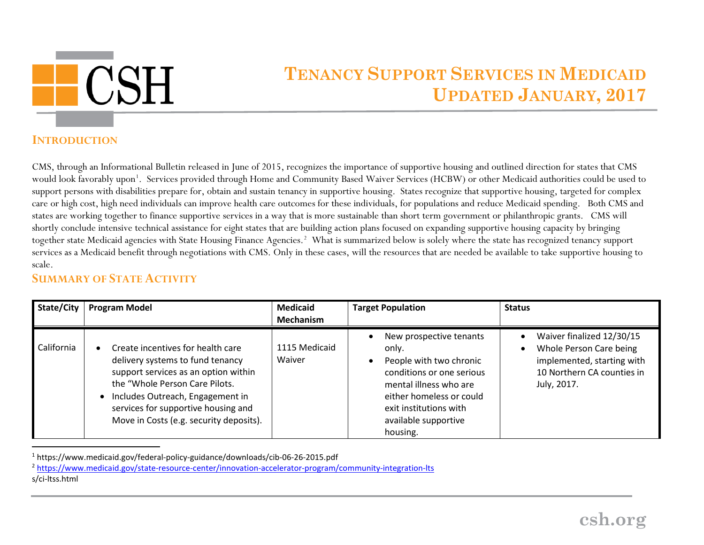

## <span id="page-0-1"></span><span id="page-0-0"></span>**TENANCY SUPPORT SERVICES IN MEDICAID UPDATED JANUARY, 2017**

## **INTRODUCTION**

CMS, through an Informational Bulletin released in June of 2015, recognizes the importance of supportive housing and outlined direction for states that CMS would look favorably upon<sup>[1](#page-0-0)</sup>. Services provided through Home and Community Based Waiver Services (HCBW) or other Medicaid authorities could be used to support persons with disabilities prepare for, obtain and sustain tenancy in supportive housing. States recognize that supportive housing, targeted for complex care or high cost, high need individuals can improve health care outcomes for these individuals, for populations and reduce Medicaid spending. Both CMS and states are working together to finance supportive services in a way that is more sustainable than short term government or philanthropic grants. CMS will shortly conclude intensive technical assistance for eight states that are building action plans focused on expanding supportive housing capacity by bringing together state Medicaid agencies with State Housing Finance Agencies.<sup>[2](#page-0-1)</sup> What is summarized below is solely where the state has recognized tenancy support services as a Medicaid benefit through negotiations with CMS. Only in these cases, will the resources that are needed be available to take supportive housing to scale.

## **SUMMARY OF STATE ACTIVITY**

| State/City | <b>Program Model</b>                                                                                                                                                                                                                                                  | <b>Medicaid</b><br><b>Mechanism</b> | <b>Target Population</b>                                                                                                                                                                                     | <b>Status</b>                                                                                                                   |
|------------|-----------------------------------------------------------------------------------------------------------------------------------------------------------------------------------------------------------------------------------------------------------------------|-------------------------------------|--------------------------------------------------------------------------------------------------------------------------------------------------------------------------------------------------------------|---------------------------------------------------------------------------------------------------------------------------------|
| California | Create incentives for health care<br>delivery systems to fund tenancy<br>support services as an option within<br>the "Whole Person Care Pilots.<br>Includes Outreach, Engagement in<br>services for supportive housing and<br>Move in Costs (e.g. security deposits). | 1115 Medicaid<br>Waiver             | New prospective tenants<br>only.<br>People with two chronic<br>conditions or one serious<br>mental illness who are<br>either homeless or could<br>exit institutions with<br>available supportive<br>housing. | Waiver finalized 12/30/15<br>Whole Person Care being<br>implemented, starting with<br>10 Northern CA counties in<br>July, 2017. |

 <sup>1</sup> https://www.medicaid.gov/federal-policy-guidance/downloads/cib-06-26-2015.pdf

<sup>2</sup> <https://www.medicaid.gov/state-resource-center/innovation-accelerator-program/community-integration-lts> s/ci-ltss.html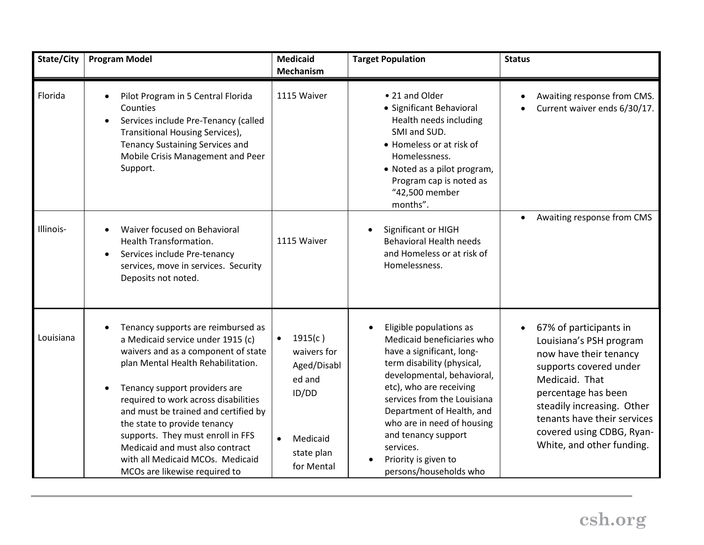| State/City | <b>Program Model</b>                                                                                                                                                                                                                                                                                                                                                                                                                               | <b>Medicaid</b><br><b>Mechanism</b>                                                                                        | <b>Target Population</b>                                                                                                                                                                                                                                                                                                                                  | <b>Status</b>                                                                                                                                                                                                                                                                      |
|------------|----------------------------------------------------------------------------------------------------------------------------------------------------------------------------------------------------------------------------------------------------------------------------------------------------------------------------------------------------------------------------------------------------------------------------------------------------|----------------------------------------------------------------------------------------------------------------------------|-----------------------------------------------------------------------------------------------------------------------------------------------------------------------------------------------------------------------------------------------------------------------------------------------------------------------------------------------------------|------------------------------------------------------------------------------------------------------------------------------------------------------------------------------------------------------------------------------------------------------------------------------------|
| Florida    | Pilot Program in 5 Central Florida<br>Counties<br>Services include Pre-Tenancy (called<br>$\bullet$<br>Transitional Housing Services),<br><b>Tenancy Sustaining Services and</b><br>Mobile Crisis Management and Peer<br>Support.                                                                                                                                                                                                                  | 1115 Waiver                                                                                                                | • 21 and Older<br>• Significant Behavioral<br>Health needs including<br>SMI and SUD.<br>• Homeless or at risk of<br>Homelessness.<br>· Noted as a pilot program,<br>Program cap is noted as<br>"42,500 member<br>months".                                                                                                                                 | Awaiting response from CMS.<br>$\bullet$<br>Current waiver ends 6/30/17.                                                                                                                                                                                                           |
| Illinois-  | Waiver focused on Behavioral<br>Health Transformation.<br>Services include Pre-tenancy<br>$\bullet$<br>services, move in services. Security<br>Deposits not noted.                                                                                                                                                                                                                                                                                 | 1115 Waiver                                                                                                                | Significant or HIGH<br><b>Behavioral Health needs</b><br>and Homeless or at risk of<br>Homelessness.                                                                                                                                                                                                                                                      | Awaiting response from CMS<br>$\bullet$                                                                                                                                                                                                                                            |
| Louisiana  | Tenancy supports are reimbursed as<br>a Medicaid service under 1915 (c)<br>waivers and as a component of state<br>plan Mental Health Rehabilitation.<br>Tenancy support providers are<br>required to work across disabilities<br>and must be trained and certified by<br>the state to provide tenancy<br>supports. They must enroll in FFS<br>Medicaid and must also contract<br>with all Medicaid MCOs. Medicaid<br>MCOs are likewise required to | 1915(c)<br>$\bullet$<br>waivers for<br>Aged/Disabl<br>ed and<br>ID/DD<br>Medicaid<br>$\bullet$<br>state plan<br>for Mental | Eligible populations as<br>Medicaid beneficiaries who<br>have a significant, long-<br>term disability (physical,<br>developmental, behavioral,<br>etc), who are receiving<br>services from the Louisiana<br>Department of Health, and<br>who are in need of housing<br>and tenancy support<br>services.<br>Priority is given to<br>persons/households who | 67% of participants in<br>$\bullet$<br>Louisiana's PSH program<br>now have their tenancy<br>supports covered under<br>Medicaid. That<br>percentage has been<br>steadily increasing. Other<br>tenants have their services<br>covered using CDBG, Ryan-<br>White, and other funding. |